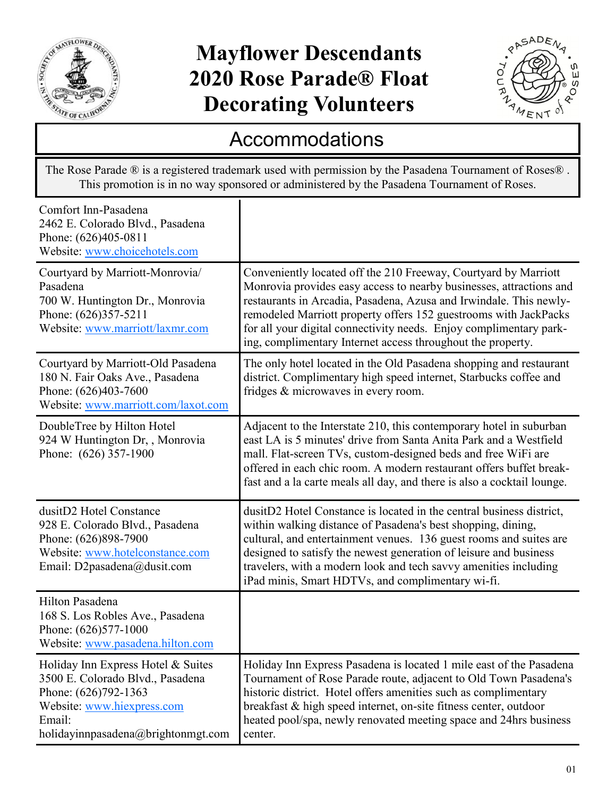

## **Mayflower Descendants 2020 Rose Parade® Float Decorating Volunteers**



## Accommodations

The Rose Parade ® is a registered trademark used with permission by the Pasadena Tournament of Roses® . This promotion is in no way sponsored or administered by the Pasadena Tournament of Roses.

| Comfort Inn-Pasadena<br>2462 E. Colorado Blvd., Pasadena<br>Phone: (626)405-0811<br>Website: www.choicehotels.com                                                            |                                                                                                                                                                                                                                                                                                                                                                                                                       |
|------------------------------------------------------------------------------------------------------------------------------------------------------------------------------|-----------------------------------------------------------------------------------------------------------------------------------------------------------------------------------------------------------------------------------------------------------------------------------------------------------------------------------------------------------------------------------------------------------------------|
| Courtyard by Marriott-Monrovia/<br>Pasadena<br>700 W. Huntington Dr., Monrovia<br>Phone: (626)357-5211<br>Website: www.marriott/laxmr.com                                    | Conveniently located off the 210 Freeway, Courtyard by Marriott<br>Monrovia provides easy access to nearby businesses, attractions and<br>restaurants in Arcadia, Pasadena, Azusa and Irwindale. This newly-<br>remodeled Marriott property offers 152 guestrooms with JackPacks<br>for all your digital connectivity needs. Enjoy complimentary park-<br>ing, complimentary Internet access throughout the property. |
| Courtyard by Marriott-Old Pasadena<br>180 N. Fair Oaks Ave., Pasadena<br>Phone: (626)403-7600<br>Website: www.marriott.com/laxot.com                                         | The only hotel located in the Old Pasadena shopping and restaurant<br>district. Complimentary high speed internet, Starbucks coffee and<br>fridges & microwaves in every room.                                                                                                                                                                                                                                        |
| DoubleTree by Hilton Hotel<br>924 W Huntington Dr, , Monrovia<br>Phone: (626) 357-1900                                                                                       | Adjacent to the Interstate 210, this contemporary hotel in suburban<br>east LA is 5 minutes' drive from Santa Anita Park and a Westfield<br>mall. Flat-screen TVs, custom-designed beds and free WiFi are<br>offered in each chic room. A modern restaurant offers buffet break-<br>fast and a la carte meals all day, and there is also a cocktail lounge.                                                           |
| dusitD2 Hotel Constance<br>928 E. Colorado Blvd., Pasadena<br>Phone: (626)898-7900<br>Website: www.hotelconstance.com<br>Email: D2pasadena@dusit.com                         | dusitD2 Hotel Constance is located in the central business district,<br>within walking distance of Pasadena's best shopping, dining,<br>cultural, and entertainment venues. 136 guest rooms and suites are<br>designed to satisfy the newest generation of leisure and business<br>travelers, with a modern look and tech savvy amenities including<br>iPad minis, Smart HDTVs, and complimentary wi-fi.              |
| Hilton Pasadena<br>168 S. Los Robles Ave., Pasadena<br>Phone: (626)577-1000<br>Website: www.pasadena.hilton.com                                                              |                                                                                                                                                                                                                                                                                                                                                                                                                       |
| Holiday Inn Express Hotel & Suites<br>3500 E. Colorado Blvd., Pasadena<br>Phone: (626)792-1363<br>Website: www.hiexpress.com<br>Email:<br>holidayinnpasadena@brightonmgt.com | Holiday Inn Express Pasadena is located 1 mile east of the Pasadena<br>Tournament of Rose Parade route, adjacent to Old Town Pasadena's<br>historic district. Hotel offers amenities such as complimentary<br>breakfast & high speed internet, on-site fitness center, outdoor<br>heated pool/spa, newly renovated meeting space and 24hrs business<br>center.                                                        |